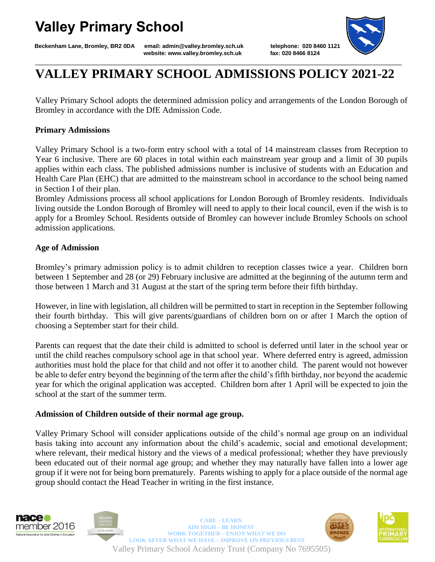# **Valley Primary School**

**Beckenham Lane, Bromley, BR2 0DA email: admin@valley.bromley.sch.uk telephone: 020 8460 1121**

 **website: www.valley.bromley.sch.uk fax: 020 8466 8124**



# **VALLEY PRIMARY SCHOOL ADMISSIONS POLICY 2021-22**

Valley Primary School adopts the determined admission policy and arrangements of the London Borough of Bromley in accordance with the DfE Admission Code.

# **Primary Admissions**

Valley Primary School is a two-form entry school with a total of 14 mainstream classes from Reception to Year 6 inclusive. There are 60 places in total within each mainstream year group and a limit of 30 pupils applies within each class. The published admissions number is inclusive of students with an Education and Health Care Plan (EHC) that are admitted to the mainstream school in accordance to the school being named in Section I of their plan.

Bromley Admissions process all school applications for London Borough of Bromley residents. Individuals living outside the London Borough of Bromley will need to apply to their local council, even if the wish is to apply for a Bromley School. Residents outside of Bromley can however include Bromley Schools on school admission applications.

# **Age of Admission**

Bromley's primary admission policy is to admit children to reception classes twice a year. Children born between 1 September and 28 (or 29) February inclusive are admitted at the beginning of the autumn term and those between 1 March and 31 August at the start of the spring term before their fifth birthday.

However, in line with legislation, all children will be permitted to start in reception in the September following their fourth birthday. This will give parents/guardians of children born on or after 1 March the option of choosing a September start for their child.

Parents can request that the date their child is admitted to school is deferred until later in the school year or until the child reaches compulsory school age in that school year. Where deferred entry is agreed, admission authorities must hold the place for that child and not offer it to another child. The parent would not however be able to defer entry beyond the beginning of the term after the child's fifth birthday, nor beyond the academic year for which the original application was accepted. Children born after 1 April will be expected to join the school at the start of the summer term.

# **Admission of Children outside of their normal age group.**

Valley Primary School will consider applications outside of the child's normal age group on an individual basis taking into account any information about the child's academic, social and emotional development; where relevant, their medical history and the views of a medical professional; whether they have previously been educated out of their normal age group; and whether they may naturally have fallen into a lower age group if it were not for being born prematurely. Parents wishing to apply for a place outside of the normal age group should contact the Head Teacher in writing in the first instance.





Valley Primary School Academy Trust (Company No 7695505)  **CARE – LEARN AIM HIGH – BE HONEST WORK TOGETHER – ENJOY WHAT WE DO LOOK AFTER WHAT WE HAVE – IMPROVE ON PREVIOUS BEST** 



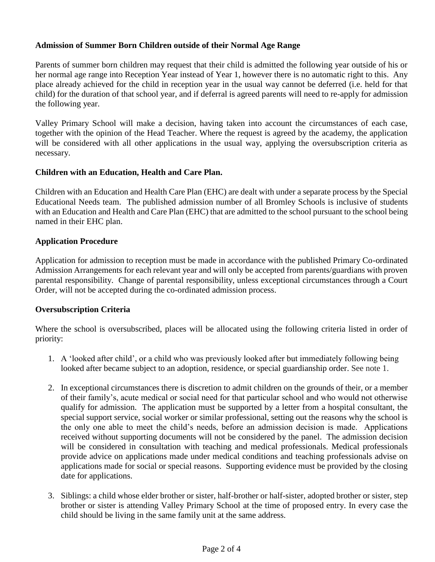# **Admission of Summer Born Children outside of their Normal Age Range**

Parents of summer born children may request that their child is admitted the following year outside of his or her normal age range into Reception Year instead of Year 1, however there is no automatic right to this. Any place already achieved for the child in reception year in the usual way cannot be deferred (i.e. held for that child) for the duration of that school year, and if deferral is agreed parents will need to re-apply for admission the following year.

Valley Primary School will make a decision, having taken into account the circumstances of each case, together with the opinion of the Head Teacher. Where the request is agreed by the academy, the application will be considered with all other applications in the usual way, applying the oversubscription criteria as necessary.

# **Children with an Education, Health and Care Plan.**

Children with an Education and Health Care Plan (EHC) are dealt with under a separate process by the Special Educational Needs team. The published admission number of all Bromley Schools is inclusive of students with an Education and Health and Care Plan (EHC) that are admitted to the school pursuant to the school being named in their EHC plan.

# **Application Procedure**

Application for admission to reception must be made in accordance with the published Primary Co-ordinated Admission Arrangements for each relevant year and will only be accepted from parents/guardians with proven parental responsibility. Change of parental responsibility, unless exceptional circumstances through a Court Order, will not be accepted during the co-ordinated admission process.

# **Oversubscription Criteria**

Where the school is oversubscribed, places will be allocated using the following criteria listed in order of priority:

- 1. A 'looked after child', or a child who was previously looked after but immediately following being looked after became subject to an adoption, residence, or special guardianship order. See note 1.
- 2. In exceptional circumstances there is discretion to admit children on the grounds of their, or a member of their family's, acute medical or social need for that particular school and who would not otherwise qualify for admission. The application must be supported by a letter from a hospital consultant, the special support service, social worker or similar professional, setting out the reasons why the school is the only one able to meet the child's needs, before an admission decision is made. Applications received without supporting documents will not be considered by the panel. The admission decision will be considered in consultation with teaching and medical professionals. Medical professionals provide advice on applications made under medical conditions and teaching professionals advise on applications made for social or special reasons. Supporting evidence must be provided by the closing date for applications.
- 3. Siblings: a child whose elder brother or sister, half-brother or half-sister, adopted brother or sister, step brother or sister is attending Valley Primary School at the time of proposed entry. In every case the child should be living in the same family unit at the same address.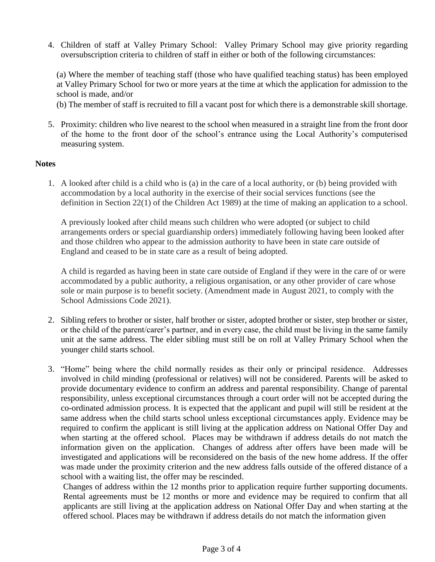4. Children of staff at Valley Primary School: Valley Primary School may give priority regarding oversubscription criteria to children of staff in either or both of the following circumstances:

(a) Where the member of teaching staff (those who have qualified teaching status) has been employed at Valley Primary School for two or more years at the time at which the application for admission to the school is made, and/or

- (b) The member of staff is recruited to fill a vacant post for which there is a demonstrable skill shortage.
- 5. Proximity: children who live nearest to the school when measured in a straight line from the front door of the home to the front door of the school's entrance using the Local Authority's computerised measuring system.

# **Notes**

1. A looked after child is a child who is (a) in the care of a local authority, or (b) being provided with accommodation by a local authority in the exercise of their social services functions (see the definition in Section 22(1) of the Children Act 1989) at the time of making an application to a school.

A previously looked after child means such children who were adopted (or subject to child arrangements orders or special guardianship orders) immediately following having been looked after and those children who appear to the admission authority to have been in state care outside of England and ceased to be in state care as a result of being adopted.

A child is regarded as having been in state care outside of England if they were in the care of or were accommodated by a public authority, a religious organisation, or any other provider of care whose sole or main purpose is to benefit society. (Amendment made in August 2021, to comply with the School Admissions Code 2021).

- 2. Sibling refers to brother or sister, half brother or sister, adopted brother or sister, step brother or sister, or the child of the parent/carer's partner, and in every case, the child must be living in the same family unit at the same address. The elder sibling must still be on roll at Valley Primary School when the younger child starts school.
- 3. "Home" being where the child normally resides as their only or principal residence. Addresses involved in child minding (professional or relatives) will not be considered. Parents will be asked to provide documentary evidence to confirm an address and parental responsibility. Change of parental responsibility, unless exceptional circumstances through a court order will not be accepted during the co-ordinated admission process. It is expected that the applicant and pupil will still be resident at the same address when the child starts school unless exceptional circumstances apply. Evidence may be required to confirm the applicant is still living at the application address on National Offer Day and when starting at the offered school. Places may be withdrawn if address details do not match the information given on the application. Changes of address after offers have been made will be investigated and applications will be reconsidered on the basis of the new home address. If the offer was made under the proximity criterion and the new address falls outside of the offered distance of a school with a waiting list, the offer may be rescinded.

Changes of address within the 12 months prior to application require further supporting documents. Rental agreements must be 12 months or more and evidence may be required to confirm that all applicants are still living at the application address on National Offer Day and when starting at the offered school. Places may be withdrawn if address details do not match the information given